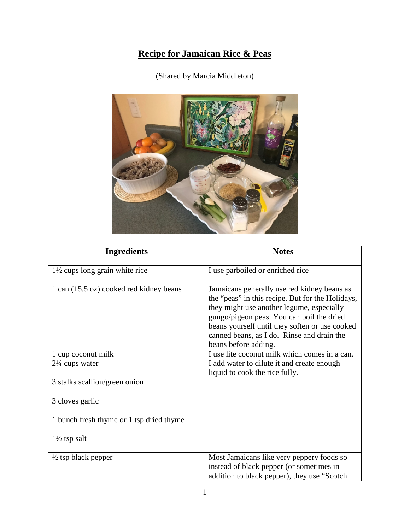## **Recipe for Jamaican Rice & Peas**

(Shared by Marcia Middleton)



| <b>Ingredients</b>                        | <b>Notes</b>                                                                                                                                                                                                                                                                                                      |
|-------------------------------------------|-------------------------------------------------------------------------------------------------------------------------------------------------------------------------------------------------------------------------------------------------------------------------------------------------------------------|
| $1\frac{1}{2}$ cups long grain white rice | I use parboiled or enriched rice                                                                                                                                                                                                                                                                                  |
| 1 can (15.5 oz) cooked red kidney beans   | Jamaicans generally use red kidney beans as<br>the "peas" in this recipe. But for the Holidays,<br>they might use another legume, especially<br>gungo/pigeon peas. You can boil the dried<br>beans yourself until they soften or use cooked<br>canned beans, as I do. Rinse and drain the<br>beans before adding. |
| 1 cup coconut milk                        | I use lite coconut milk which comes in a can.                                                                                                                                                                                                                                                                     |
| $2\frac{1}{4}$ cups water                 | I add water to dilute it and create enough                                                                                                                                                                                                                                                                        |
|                                           | liquid to cook the rice fully.                                                                                                                                                                                                                                                                                    |
| 3 stalks scallion/green onion             |                                                                                                                                                                                                                                                                                                                   |
| 3 cloves garlic                           |                                                                                                                                                                                                                                                                                                                   |
| 1 bunch fresh thyme or 1 tsp dried thyme  |                                                                                                                                                                                                                                                                                                                   |
| $1\frac{1}{2}$ tsp salt                   |                                                                                                                                                                                                                                                                                                                   |
| $\frac{1}{2}$ tsp black pepper            | Most Jamaicans like very peppery foods so<br>instead of black pepper (or sometimes in<br>addition to black pepper), they use "Scotch                                                                                                                                                                              |